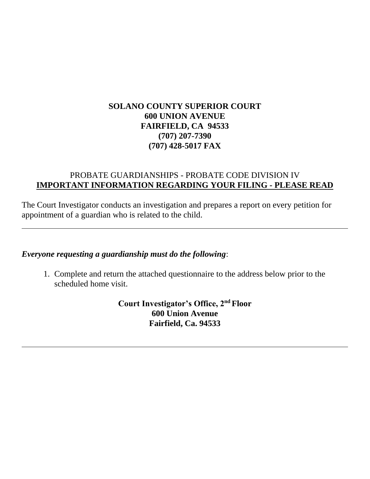# **SOLANO COUNTY SUPERIOR COURT 600 UNION AVENUE FAIRFIELD, CA 94533 (707) 207-7390 (707) 428-5017 FAX**

# PROBATE GUARDIANSHIPS - PROBATE CODE DIVISION IV **IMPORTANT INFORMATION REGARDING YOUR FILING - PLEASE READ**

The Court Investigator conducts an investigation and prepares a report on every petition for appointment of a guardian who is related to the child.

*Everyone requesting a guardianship must do the following*:

1. Complete and return the attached questionnaire to the address below prior to the scheduled home visit.

> **Court Investigator's Office, 2nd Floor 600 Union Avenue Fairfield, Ca. 94533**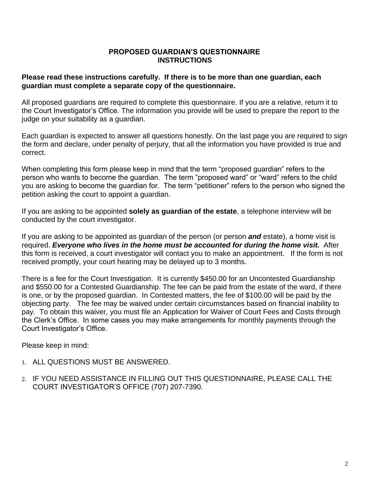## **PROPOSED GUARDIAN'S QUESTIONNAIRE INSTRUCTIONS**

# **Please read these instructions carefully. If there is to be more than one guardian, each guardian must complete a separate copy of the questionnaire.**

All proposed guardians are required to complete this questionnaire. If you are a relative, return it to the Court Investigator's Office. The information you provide will be used to prepare the report to the judge on your suitability as a guardian.

Each guardian is expected to answer all questions honestly. On the last page you are required to sign the form and declare, under penalty of perjury, that all the information you have provided is true and correct.

When completing this form please keep in mind that the term "proposed guardian" refers to the person who wants to become the guardian. The term "proposed ward" or "ward" refers to the child you are asking to become the guardian for. The term "petitioner" refers to the person who signed the petition asking the court to appoint a guardian.

If you are asking to be appointed **solely as guardian of the estate**, a telephone interview will be conducted by the court investigator.

If you are asking to be appointed as guardian of the person (or person *and* estate), a home visit is required. *Everyone who lives in the home must be accounted for during the home visit.*After this form is received, a court investigator will contact you to make an appointment. If the form is not received promptly, your court hearing may be delayed up to 3 months.

There is a fee for the Court Investigation. It is currently \$450.00 for an Uncontested Guardianship and \$550.00 for a Contested Guardianship. The fee can be paid from the estate of the ward, if there is one, or by the proposed guardian. In Contested matters, the fee of \$100.00 will be paid by the objecting party. The fee may be waived under certain circumstances based on financial inability to pay. To obtain this waiver, you must file an Application for Waiver of Court Fees and Costs through the Clerk's Office. In some cases you may make arrangements for monthly payments through the Court Investigator's Office.

Please keep in mind:

- 1. ALL QUESTIONS MUST BE ANSWERED.
- 2. IF YOU NEED ASSISTANCE IN FILLING OUT THIS QUESTIONNAIRE, PLEASE CALL THE COURT INVESTIGATOR'S OFFICE (707) 207-7390.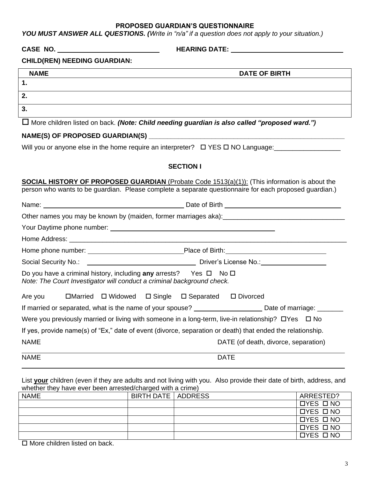#### **PROPOSED GUARDIAN'S QUESTIONNAIRE**

*YOU MUST ANSWER ALL QUESTIONS. (Write in "n/a" if a question does not apply to your situation.)*

**CASE NO. HEARING DATE:** 

#### **CHILD(REN) NEEDING GUARDIAN:**

| <b>NAME</b> | <b>DATE OF BIRTH</b> |
|-------------|----------------------|
| 1<br>. .    |                      |
| 2.          |                      |
| 3.          |                      |

More children listed on back. *(Note: Child needing guardian is also called "proposed ward.")*

### **NAME(S) OF PROPOSED GUARDIAN(S) \_\_\_\_\_\_\_\_\_\_\_\_\_\_\_\_\_\_\_\_\_\_\_\_\_\_\_\_\_\_\_\_\_\_\_\_\_\_\_\_\_\_\_\_\_\_\_\_\_\_\_\_\_**

Will you or anyone else in the home require an interpreter? YES NO Language:\_\_\_\_\_\_\_\_\_\_\_\_\_\_\_\_\_\_

### **SECTION I**

**SOCIAL HISTORY OF PROPOSED GUARDIAN** (Probate Code 1513(a)(1)): (This information is about the person who wants to be guardian. Please complete a separate questionnaire for each proposed guardian.)

| Do you have a criminal history, including any arrests? Yes $\Box$ No $\Box$<br>Note: The Court Investigator will conduct a criminal background check. |                                                                                                                |  |  |  |  |  |  |  |  |  |  |
|-------------------------------------------------------------------------------------------------------------------------------------------------------|----------------------------------------------------------------------------------------------------------------|--|--|--|--|--|--|--|--|--|--|
| Are you IMarried I Widowed I Single I Separated I Divorced                                                                                            |                                                                                                                |  |  |  |  |  |  |  |  |  |  |
|                                                                                                                                                       | If married or separated, what is the name of your spouse? __________________________Date of marriage: ________ |  |  |  |  |  |  |  |  |  |  |
|                                                                                                                                                       | Were you previously married or living with someone in a long-term, live-in relationship? $\Box$ Yes $\Box$ No  |  |  |  |  |  |  |  |  |  |  |
|                                                                                                                                                       | If yes, provide name(s) of "Ex," date of event (divorce, separation or death) that ended the relationship.     |  |  |  |  |  |  |  |  |  |  |
| <b>NAME</b>                                                                                                                                           | DATE (of death, divorce, separation)                                                                           |  |  |  |  |  |  |  |  |  |  |
| <b>NAME</b>                                                                                                                                           | <b>DATE</b>                                                                                                    |  |  |  |  |  |  |  |  |  |  |

List **your** children (even if they are adults and not living with you. Also provide their date of birth, address, and whether they have ever been arrested/charged with a crime)

 $\overline{a}$ 

| <b>NAME</b> | BIRTH DATE   ADDRESS | ARRESTED?    |
|-------------|----------------------|--------------|
|             |                      | $DYES$ $DNO$ |
|             |                      | $DYES$ $DNO$ |
|             |                      | $DYES$ $DNO$ |
|             |                      | $DYES$ $DNO$ |
|             |                      | $DYES$ $DNO$ |
|             |                      |              |

 $\Box$  More children listed on back.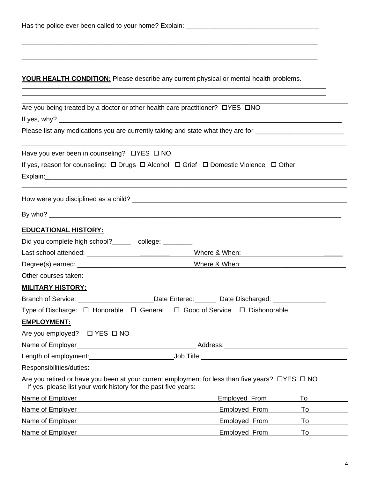| Has the police ever been called to your home? Explain: |  |
|--------------------------------------------------------|--|
|                                                        |  |

# **YOUR HEALTH CONDITION:** Please describe any current physical or mental health problems.

\_\_\_\_\_\_\_\_\_\_\_\_\_\_\_\_\_\_\_\_\_\_\_\_\_\_\_\_\_\_\_\_\_\_\_\_\_\_\_\_\_\_\_\_\_\_\_\_\_\_\_\_\_\_\_\_\_\_\_\_\_\_\_\_\_\_\_\_\_\_\_\_\_\_\_\_\_\_\_\_

\_\_\_\_\_\_\_\_\_\_\_\_\_\_\_\_\_\_\_\_\_\_\_\_\_\_\_\_\_\_\_\_\_\_\_\_\_\_\_\_\_\_\_\_\_\_\_\_\_\_\_\_\_\_\_\_\_\_\_\_\_\_\_\_\_\_\_\_\_\_\_\_\_\_\_\_\_\_\_\_

 

| Are you being treated by a doctor or other health care practitioner? OYES ONO                                                                                                |                                                                                                                |    |  |  |  |  |  |  |  |
|------------------------------------------------------------------------------------------------------------------------------------------------------------------------------|----------------------------------------------------------------------------------------------------------------|----|--|--|--|--|--|--|--|
| If yes, why? $\qquad \qquad$                                                                                                                                                 |                                                                                                                |    |  |  |  |  |  |  |  |
|                                                                                                                                                                              | Please list any medications you are currently taking and state what they are for _____________________________ |    |  |  |  |  |  |  |  |
| Have you ever been in counseling? DYES D NO                                                                                                                                  |                                                                                                                |    |  |  |  |  |  |  |  |
| If yes, reason for counseling: $\Box$ Drugs $\Box$ Alcohol $\Box$ Grief $\Box$ Domestic Violence $\Box$ Other                                                                |                                                                                                                |    |  |  |  |  |  |  |  |
|                                                                                                                                                                              |                                                                                                                |    |  |  |  |  |  |  |  |
|                                                                                                                                                                              |                                                                                                                |    |  |  |  |  |  |  |  |
|                                                                                                                                                                              |                                                                                                                |    |  |  |  |  |  |  |  |
| <b>EDUCATIONAL HISTORY:</b>                                                                                                                                                  |                                                                                                                |    |  |  |  |  |  |  |  |
| Did you complete high school?______ college: ________                                                                                                                        |                                                                                                                |    |  |  |  |  |  |  |  |
|                                                                                                                                                                              |                                                                                                                |    |  |  |  |  |  |  |  |
|                                                                                                                                                                              |                                                                                                                |    |  |  |  |  |  |  |  |
|                                                                                                                                                                              |                                                                                                                |    |  |  |  |  |  |  |  |
| <u> MILITARY HISTORY:</u>                                                                                                                                                    |                                                                                                                |    |  |  |  |  |  |  |  |
| Branch of Service: __________________________Date Entered: ________ Date Discharged: _______________                                                                         |                                                                                                                |    |  |  |  |  |  |  |  |
| Type of Discharge: $\Box$ Honorable $\Box$ General $\Box$ Good of Service $\Box$ Dishonorable                                                                                |                                                                                                                |    |  |  |  |  |  |  |  |
| <b>EMPLOYMENT:</b>                                                                                                                                                           |                                                                                                                |    |  |  |  |  |  |  |  |
| Are you employed? □ YES □ NO                                                                                                                                                 |                                                                                                                |    |  |  |  |  |  |  |  |
|                                                                                                                                                                              |                                                                                                                |    |  |  |  |  |  |  |  |
|                                                                                                                                                                              |                                                                                                                |    |  |  |  |  |  |  |  |
| Responsibilities/duties:                                                                                                                                                     |                                                                                                                |    |  |  |  |  |  |  |  |
| Are you retired or have you been at your current employment for less than five years? $\Box$ YES $\Box$ NO<br>If yes, please list your work history for the past five years: |                                                                                                                |    |  |  |  |  |  |  |  |
| Name of Employer                                                                                                                                                             | <b>Employed From</b>                                                                                           | To |  |  |  |  |  |  |  |
| Name of Employer                                                                                                                                                             | <b>Employed From</b>                                                                                           | To |  |  |  |  |  |  |  |
| Name of Employer                                                                                                                                                             | <b>Employed From</b>                                                                                           | To |  |  |  |  |  |  |  |
| Name of Employer                                                                                                                                                             | <b>Employed From</b>                                                                                           | To |  |  |  |  |  |  |  |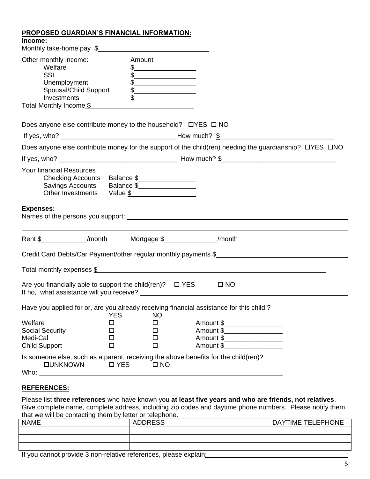## **PROPOSED GUARDIAN'S FINANCIAL INFORMATION:**

| Income:                                                                                                                                              |                       |                                                                                              |              |                                                                                                        |
|------------------------------------------------------------------------------------------------------------------------------------------------------|-----------------------|----------------------------------------------------------------------------------------------|--------------|--------------------------------------------------------------------------------------------------------|
| Other monthly income:<br>Welfare<br>SSI<br>Unemployment<br>Spousal/Child Support<br>Investments<br>Total Monthly Income \$                           | Amount                | $\frac{1}{2}$<br>$\frac{1}{2}$<br>$\begin{array}{c c} \uparrow \end{array}$<br>$\frac{1}{2}$ |              |                                                                                                        |
| Does anyone else contribute money to the household? $\Box$ YES $\Box$ NO                                                                             |                       |                                                                                              |              |                                                                                                        |
|                                                                                                                                                      |                       |                                                                                              |              |                                                                                                        |
|                                                                                                                                                      |                       |                                                                                              |              | Does anyone else contribute money for the support of the child(ren) needing the guardianship? OYES ONO |
|                                                                                                                                                      |                       |                                                                                              |              |                                                                                                        |
| <b>Your financial Resources</b><br>Checking Accounts Balance \$<br>Savings Accounts Balance \$<br>Other Investments Value \$<br><b>Expenses:</b>     |                       |                                                                                              |              |                                                                                                        |
|                                                                                                                                                      |                       |                                                                                              |              |                                                                                                        |
| Rent \$ _____________/month Mortgage \$ ________________/month                                                                                       |                       |                                                                                              |              |                                                                                                        |
|                                                                                                                                                      |                       |                                                                                              |              | Credit Card Debts/Car Payment/other regular monthly payments \$                                        |
|                                                                                                                                                      |                       |                                                                                              |              | Total monthly expenses \$                                                                              |
| Are you financially able to support the child(ren)? $\Box$ YES                                                                                       |                       |                                                                                              | $\square$ NO |                                                                                                        |
| Have you applied for or, are you already receiving financial assistance for this child?                                                              | <b>YES</b>            | NO                                                                                           |              |                                                                                                        |
| Welfare<br><b>Social Security</b><br>Medi-Cal<br><b>Child Support</b>                                                                                | □<br>□<br>□<br>$\Box$ | □<br>□<br>□<br>□                                                                             |              | Amount \$_____________________<br>Amount \$_____________________<br>Amount \$_____________________     |
| Is someone else, such as a parent, receiving the above benefits for the child(ren)?<br><b>DUNKNOWN</b><br>Who:<br><u> 1999 - Jan Barat, prima po</u> | $\square$ YES         | $\square$ NO                                                                                 |              |                                                                                                        |

## **REFERENCES:**

Please list **three references** who have known you **at least five years and who are friends, not relatives**. Give complete name, complete address, including zip codes and daytime phone numbers. Please notify them that we will be contacting them by letter or telephone.

| where the trill be contracting within by follow or tolopholic. |                |                   |  |  |  |  |  |  |
|----------------------------------------------------------------|----------------|-------------------|--|--|--|--|--|--|
| <b>NAME</b>                                                    | <b>ADDRESS</b> | DAYTIME TELEPHONE |  |  |  |  |  |  |
|                                                                |                |                   |  |  |  |  |  |  |
|                                                                |                |                   |  |  |  |  |  |  |
|                                                                |                |                   |  |  |  |  |  |  |

If you cannot provide 3 non-relative references, please explain: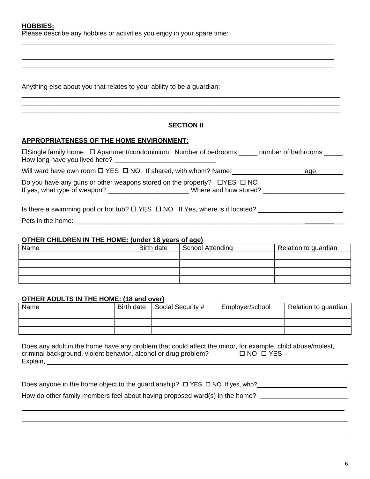#### **HOBBIES:**

 $\overline{a}$ 

 $\overline{a}$  $\overline{a}$ 

Please describe any hobbies or activities you enjoy in your spare time:

Anything else about you that relates to your ability to be a guardian:

#### **SECTION II**

\_\_\_\_\_\_\_\_\_\_\_\_\_\_\_\_\_\_\_\_\_\_\_\_\_\_\_\_\_\_\_\_\_\_\_\_\_\_\_\_\_\_\_\_\_\_\_\_\_\_\_\_\_\_\_\_\_\_\_\_\_\_\_\_\_\_\_\_\_\_\_\_\_\_\_\_\_\_\_\_\_\_\_\_\_\_ \_\_\_\_\_\_\_\_\_\_\_\_\_\_\_\_\_\_\_\_\_\_\_\_\_\_\_\_\_\_\_\_\_\_\_\_\_\_\_\_\_\_\_\_\_\_\_\_\_\_\_\_\_\_\_\_\_\_\_\_\_\_\_\_\_\_\_\_\_\_\_\_\_\_\_\_\_\_\_\_\_\_\_\_\_\_ \_\_\_\_\_\_\_\_\_\_\_\_\_\_\_\_\_\_\_\_\_\_\_\_\_\_\_\_\_\_\_\_\_\_\_\_\_\_\_\_\_\_\_\_\_\_\_\_\_\_\_\_\_\_\_\_\_\_\_\_\_\_\_\_\_\_\_\_\_\_\_\_\_\_\_\_\_\_\_\_\_\_\_\_\_\_

 $\overline{a}$ 

#### **APPROPRIATENESS OF THE HOME ENVIRONMENT:**

 $\Box$ Single family home  $\Box$  Apartment/condominium Number of bedrooms \_\_\_\_\_\_ number of bathrooms \_\_\_\_\_\_ How long have you lived here?

Will ward have own room  $\Box$  YES  $\Box$  NO. If shared, with whom? Name:  $\Box$  age: age:

Do you have any guns or other weapons stored on the property?  $\Box$  YES  $\Box$  NO If yes, what type of weapon? \_\_\_\_\_\_\_\_\_\_\_\_\_\_\_\_\_\_\_\_\_\_\_\_\_\_\_Where and how stored? \_\_\_\_\_\_\_\_\_\_\_\_\_\_\_\_\_\_\_\_\_\_\_\_\_\_\_\_\_\_\_\_

Is there a swimming pool or hot tub? YES NO If Yes, where is it located? \_\_\_\_\_\_\_\_\_\_\_\_\_\_\_\_\_\_\_\_\_\_\_ Pets in the home:  $\blacksquare$ 

#### **OTHER CHILDREN IN THE HOME: (under 18 years of age)**

| Name | <b>Birth date</b> | <b>School Attending</b> | Relation to guardian |
|------|-------------------|-------------------------|----------------------|
|      |                   |                         |                      |
|      |                   |                         |                      |
|      |                   |                         |                      |
|      |                   |                         |                      |

#### **OTHER ADULTS IN THE HOME: (18 and over)**

| Name | Birth date | Social Security # | Employer/school | Relation to guardian |
|------|------------|-------------------|-----------------|----------------------|
|      |            |                   |                 |                      |
|      |            |                   |                 |                      |
|      |            |                   |                 |                      |

| Does any adult in the home have any problem that could affect the minor, for example, child abuse/molest, |                      |
|-----------------------------------------------------------------------------------------------------------|----------------------|
| criminal background, violent behavior, alcohol or drug problem?                                           | $\Box$ NO $\Box$ YES |
| Explain,                                                                                                  |                      |

|   |  |  |  |  | Does anyone in the home object to the guardianship? $\Box$ YES $\Box$ NO If yes, who?                                                                                                                                         |  |  |  |
|---|--|--|--|--|-------------------------------------------------------------------------------------------------------------------------------------------------------------------------------------------------------------------------------|--|--|--|
| . |  |  |  |  | . The contract of the contract of the contract of the contract of the contract of the contract of the contract of the contract of the contract of the contract of the contract of the contract of the contract of the contrac |  |  |  |

 $\overline{a}$  $\overline{a}$ 

How do other family members feel about having proposed ward(s) in the home?

 $\overline{a}$ 

 $\overline{a}$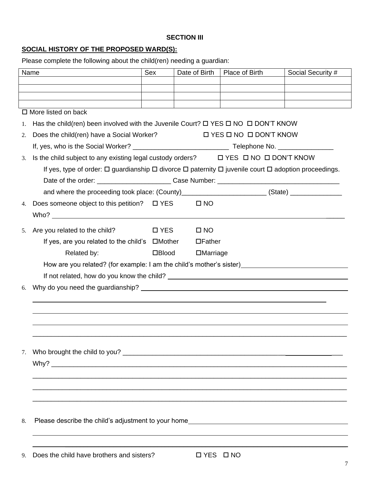# **SECTION III**

# **SOCIAL HISTORY OF THE PROPOSED WARD(S):**

Please complete the following about the child(ren) needing a guardian:

| Name |                                                                                                                                                                                                                                | Sex          | Date of Birth   | Place of Birth                         | Social Security # |
|------|--------------------------------------------------------------------------------------------------------------------------------------------------------------------------------------------------------------------------------|--------------|-----------------|----------------------------------------|-------------------|
|      |                                                                                                                                                                                                                                |              |                 |                                        |                   |
|      |                                                                                                                                                                                                                                |              |                 |                                        |                   |
|      |                                                                                                                                                                                                                                |              |                 |                                        |                   |
|      | $\Box$ More listed on back                                                                                                                                                                                                     |              |                 |                                        |                   |
| 1.   | Has the child(ren) been involved with the Juvenile Court? $\Box$ YES $\Box$ NO $\Box$ DON'T KNOW                                                                                                                               |              |                 |                                        |                   |
| 2.   | Does the child(ren) have a Social Worker?                                                                                                                                                                                      |              |                 | $\Box$ YES $\Box$ NO $\Box$ DON'T KNOW |                   |
|      |                                                                                                                                                                                                                                |              |                 |                                        |                   |
| 3.   | Is the child subject to any existing legal custody orders?<br>$\Box$ YES $\Box$ NO $\Box$ DON'T KNOW                                                                                                                           |              |                 |                                        |                   |
|      | If yes, type of order: $\Box$ guardianship $\Box$ divorce $\Box$ paternity $\Box$ juvenile court $\Box$ adoption proceedings.                                                                                                  |              |                 |                                        |                   |
|      |                                                                                                                                                                                                                                |              |                 |                                        |                   |
|      | and where the proceeding took place: (County)_________________________(State) ______________________                                                                                                                           |              |                 |                                        |                   |
| 4.   | Does someone object to this petition? $\Box$ YES                                                                                                                                                                               |              | $\square$ NO    |                                        |                   |
|      | Who? Who has a series of the series of the series of the series of the series of the series of the series of the series of the series of the series of the series of the series of the series of the series of the series of t |              |                 |                                        |                   |
| 5.   | Are you related to the child?                                                                                                                                                                                                  | □ YES        | $\square$ NO    |                                        |                   |
|      | If yes, are you related to the child's $\Box$ Mother                                                                                                                                                                           |              | $\Box$ Father   |                                        |                   |
|      | Related by:                                                                                                                                                                                                                    | $\Box$ Blood | $\Box$ Marriage |                                        |                   |
|      | How are you related? (for example: I am the child's mother's sister)<br>                                                                                                                                                       |              |                 |                                        |                   |
|      | If not related, how do you know the child? The contract of the contract of the contract of the contract of the child?                                                                                                          |              |                 |                                        |                   |
| 6.   |                                                                                                                                                                                                                                |              |                 |                                        |                   |
|      |                                                                                                                                                                                                                                |              |                 |                                        |                   |
|      |                                                                                                                                                                                                                                |              |                 |                                        |                   |
|      |                                                                                                                                                                                                                                |              |                 |                                        |                   |
|      |                                                                                                                                                                                                                                |              |                 |                                        |                   |
|      |                                                                                                                                                                                                                                |              |                 |                                        |                   |
| 7.   |                                                                                                                                                                                                                                |              |                 |                                        |                   |
|      |                                                                                                                                                                                                                                |              |                 |                                        |                   |
|      |                                                                                                                                                                                                                                |              |                 |                                        |                   |
|      |                                                                                                                                                                                                                                |              |                 |                                        |                   |
|      |                                                                                                                                                                                                                                |              |                 |                                        |                   |
|      |                                                                                                                                                                                                                                |              |                 |                                        |                   |
| 8.   | Please describe the child's adjustment to your home______________________________                                                                                                                                              |              |                 |                                        |                   |
|      |                                                                                                                                                                                                                                |              |                 |                                        |                   |
|      |                                                                                                                                                                                                                                |              |                 |                                        |                   |
| 9.   | Does the child have brothers and sisters?                                                                                                                                                                                      |              | <b>OYES ONO</b> |                                        |                   |
|      |                                                                                                                                                                                                                                |              |                 |                                        | 7                 |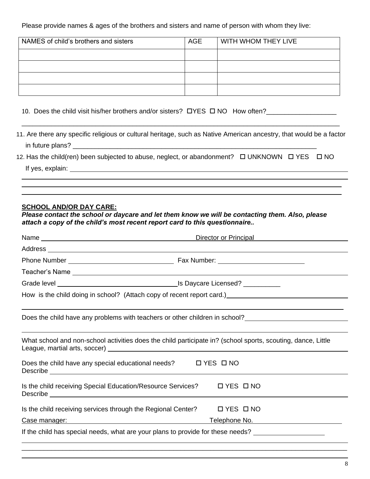Please provide names & ages of the brothers and sisters and name of person with whom they live:

| NAMES of child's brothers and sisters | <b>AGE</b> | WITH WHOM THEY LIVE |
|---------------------------------------|------------|---------------------|
|                                       |            |                     |
|                                       |            |                     |
|                                       |            |                     |
|                                       |            |                     |

10. Does the child visit his/her brothers and/or sisters?  $\Box$  YES  $\Box$  NO How often?

11. Are there any specific religious or cultural heritage, such as Native American ancestry, that would be a factor in future plans? \_\_\_\_\_\_\_\_\_\_\_\_\_\_\_\_\_\_\_\_\_\_\_\_\_\_\_\_\_\_\_\_\_\_\_\_\_\_\_\_\_\_\_\_\_\_\_\_\_\_\_\_\_\_\_\_\_\_\_\_\_\_\_\_\_\_

\_\_\_\_\_\_\_\_\_\_\_\_\_\_\_\_\_\_\_\_\_\_\_\_\_\_\_\_\_\_\_\_\_\_\_\_\_\_\_\_\_\_\_\_\_\_\_\_\_\_\_\_\_\_\_\_\_\_\_\_\_\_\_\_\_\_\_\_\_\_\_\_\_\_\_\_\_\_\_\_\_\_\_\_\_\_

12. Has the child(ren) been subjected to abuse, neglect, or abandonment?  $\Box$  UNKNOWN  $\Box$  YES  $\Box$  NO If yes, explain:

#### **SCHOOL AND/OR DAY CARE:**

 $\overline{a}$ 

 $\overline{a}$  $\overline{a}$ 

*Please contact the school or daycare and let them know we will be contacting them. Also, please attach a copy of the child's most recent report card to this questionnaire..*

| Name                                                                                                                                                                                                                                                                                                     | Director or Principal <b>Exercise Server Act 100 February</b> 2014              |  |  |
|----------------------------------------------------------------------------------------------------------------------------------------------------------------------------------------------------------------------------------------------------------------------------------------------------------|---------------------------------------------------------------------------------|--|--|
|                                                                                                                                                                                                                                                                                                          |                                                                                 |  |  |
|                                                                                                                                                                                                                                                                                                          |                                                                                 |  |  |
|                                                                                                                                                                                                                                                                                                          |                                                                                 |  |  |
|                                                                                                                                                                                                                                                                                                          |                                                                                 |  |  |
| How is the child doing in school? (Attach copy of recent report card.) [2001] [2002] [2002] [2003] [2003] [200                                                                                                                                                                                           |                                                                                 |  |  |
|                                                                                                                                                                                                                                                                                                          | Does the child have any problems with teachers or other children in school?<br> |  |  |
| What school and non-school activities does the child participate in? (school sports, scouting, dance, Little                                                                                                                                                                                             |                                                                                 |  |  |
| Does the child have any special educational needs? $\Box$ YES $\Box$ NO<br>Describe experimental and the contract of the contract of the contract of the contract of the contract of the contract of the contract of the contract of the contract of the contract of the contract of the contract of the |                                                                                 |  |  |
| Is the child receiving Special Education/Resource Services?  I YES INO                                                                                                                                                                                                                                   |                                                                                 |  |  |
| Is the child receiving services through the Regional Center?                                                                                                                                                                                                                                             | $\Box$ YES $\Box$ NO                                                            |  |  |
| <u>Case manager: example and control and control and control and control and control and control and control and control and control and control and control and control and control and control and control and control and con</u>                                                                     |                                                                                 |  |  |
| If the child has special needs, what are your plans to provide for these needs?                                                                                                                                                                                                                          |                                                                                 |  |  |
|                                                                                                                                                                                                                                                                                                          |                                                                                 |  |  |

 $\overline{a}$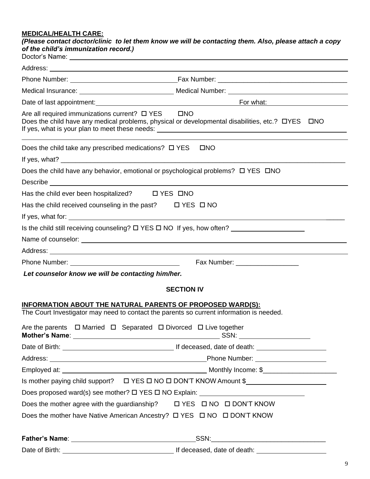#### **MEDICAL/HEALTH CARE:**

*(Please contact doctor/clinic to let them know we will be contacting them. Also, please attach a copy of the child's immunization record.)*

|                                                                     | Date of last appointment: <u>contract and contract and contract of the Formula</u> Contract of last appointment: |
|---------------------------------------------------------------------|------------------------------------------------------------------------------------------------------------------|
|                                                                     | Does the child have any medical problems, physical or developmental disabilities, etc.? $\Box$ YES $\Box$ NO     |
| Does the child take any prescribed medications? $\Box$ YES          | $\square$ NO                                                                                                     |
|                                                                     |                                                                                                                  |
|                                                                     | Does the child have any behavior, emotional or psychological problems? $\Box$ YES $\Box$ NO                      |
|                                                                     |                                                                                                                  |
| Has the child ever been hospitalized?<br><u> </u> YES <u>INO</u>    |                                                                                                                  |
| Has the child received counseling in the past? $\Box$ YES $\Box$ NO |                                                                                                                  |
|                                                                     |                                                                                                                  |
|                                                                     | Is the child still receiving counseling? $\square$ YES $\square$ NO If yes, how often?                           |
|                                                                     |                                                                                                                  |
|                                                                     |                                                                                                                  |
|                                                                     | Fax Number: ___________________                                                                                  |
| Let counselor know we will be contacting him/her.                   |                                                                                                                  |
|                                                                     | <b>SECTION IV</b>                                                                                                |
|                                                                     | <b>INFORMATION ABOUT THE NATURAL PARENTS OF PROPOSED WARD(S):</b>                                                |
|                                                                     | The Court Investigator may need to contact the parents so current information is needed.                         |
|                                                                     | Are the parents □ Married □ Separated □ Divorced □ Live together                                                 |
|                                                                     |                                                                                                                  |
|                                                                     |                                                                                                                  |
|                                                                     |                                                                                                                  |
|                                                                     | Is mother paying child support? $\Box$ YES $\Box$ NO $\Box$ DON'T KNOW Amount \$                                 |
|                                                                     |                                                                                                                  |
|                                                                     | Does the mother agree with the guardianship? $\Box$ YES $\Box$ NO $\Box$ DON'T KNOW                              |
|                                                                     |                                                                                                                  |
|                                                                     |                                                                                                                  |
| Date of Birth:                                                      | and the contract of the contract of the contract of death: the contract of death:                                |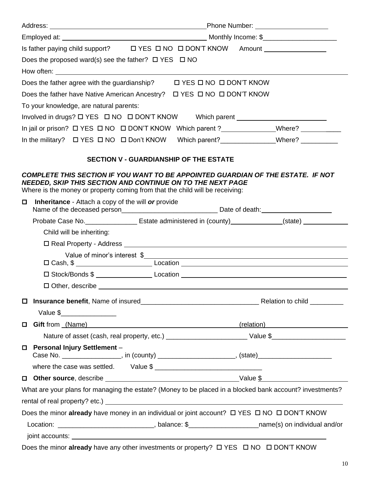| Does the proposed ward(s) see the father? $\Box$ YES $\Box$ NO                                                                                                                                                                                                                                                        |                                                                                                                                                                                                                                |  |  |
|-----------------------------------------------------------------------------------------------------------------------------------------------------------------------------------------------------------------------------------------------------------------------------------------------------------------------|--------------------------------------------------------------------------------------------------------------------------------------------------------------------------------------------------------------------------------|--|--|
|                                                                                                                                                                                                                                                                                                                       |                                                                                                                                                                                                                                |  |  |
| Does the father agree with the guardianship? $\Box$ YES $\Box$ NO $\Box$ DON'T KNOW                                                                                                                                                                                                                                   |                                                                                                                                                                                                                                |  |  |
|                                                                                                                                                                                                                                                                                                                       |                                                                                                                                                                                                                                |  |  |
| To your knowledge, are natural parents:                                                                                                                                                                                                                                                                               |                                                                                                                                                                                                                                |  |  |
| Involved in drugs? $\Box$ YES $\Box$ NO $\Box$ DON'T KNOW Which parent ___________________________________                                                                                                                                                                                                            |                                                                                                                                                                                                                                |  |  |
| In jail or prison? $\Box$ YES $\Box$ NO $\Box$ DON'T KNOW Which parent ?______________Where? ___________                                                                                                                                                                                                              |                                                                                                                                                                                                                                |  |  |
|                                                                                                                                                                                                                                                                                                                       |                                                                                                                                                                                                                                |  |  |
| <b>SECTION V - GUARDIANSHIP OF THE ESTATE</b>                                                                                                                                                                                                                                                                         |                                                                                                                                                                                                                                |  |  |
| COMPLETE THIS SECTION IF YOU WANT TO BE APPOINTED GUARDIAN OF THE ESTATE. IF NOT                                                                                                                                                                                                                                      |                                                                                                                                                                                                                                |  |  |
| <b>NEEDED, SKIP THIS SECTION AND CONTINUE ON TO THE NEXT PAGE</b><br>Where is the money or property coming from that the child will be receiving:                                                                                                                                                                     |                                                                                                                                                                                                                                |  |  |
| <b>Inheritance</b> - Attach a copy of the will <b>or</b> provide<br>$\Box$                                                                                                                                                                                                                                            |                                                                                                                                                                                                                                |  |  |
| Probate Case No. ____________________ Estate administered in (county)_____________(state) ______________                                                                                                                                                                                                              |                                                                                                                                                                                                                                |  |  |
| Child will be inheriting:                                                                                                                                                                                                                                                                                             |                                                                                                                                                                                                                                |  |  |
|                                                                                                                                                                                                                                                                                                                       |                                                                                                                                                                                                                                |  |  |
|                                                                                                                                                                                                                                                                                                                       | Value of minor's interest \$                                                                                                                                                                                                   |  |  |
| 口 Cash, \$ ______________________________Location _______________________________                                                                                                                                                                                                                                     |                                                                                                                                                                                                                                |  |  |
| □ Stock/Bonds \$ ______________________Location _________________________________                                                                                                                                                                                                                                     |                                                                                                                                                                                                                                |  |  |
|                                                                                                                                                                                                                                                                                                                       |                                                                                                                                                                                                                                |  |  |
|                                                                                                                                                                                                                                                                                                                       |                                                                                                                                                                                                                                |  |  |
| Value $\frac{1}{2}$ $\frac{1}{2}$ $\frac{1}{2}$ $\frac{1}{2}$ $\frac{1}{2}$ $\frac{1}{2}$ $\frac{1}{2}$ $\frac{1}{2}$ $\frac{1}{2}$ $\frac{1}{2}$ $\frac{1}{2}$ $\frac{1}{2}$ $\frac{1}{2}$ $\frac{1}{2}$ $\frac{1}{2}$ $\frac{1}{2}$ $\frac{1}{2}$ $\frac{1}{2}$ $\frac{1}{2}$ $\frac{1}{2}$ $\frac{1}{2}$ $\frac{1$ |                                                                                                                                                                                                                                |  |  |
| Gift from (Name) <b>Gift from 1999</b><br>$\Box$                                                                                                                                                                                                                                                                      | (relation) The Contract of the Contract of the Contract of the Contract of the Contract of the Contract of the Contract of the Contract of the Contract of the Contract of the Contract of the Contract of the Contract of the |  |  |
|                                                                                                                                                                                                                                                                                                                       |                                                                                                                                                                                                                                |  |  |
| <b>Personal Injury Settlement -</b><br>$\Box$<br>Case No. ____________________, in (county) _________________________, (state)______________________                                                                                                                                                                  |                                                                                                                                                                                                                                |  |  |
|                                                                                                                                                                                                                                                                                                                       |                                                                                                                                                                                                                                |  |  |
|                                                                                                                                                                                                                                                                                                                       |                                                                                                                                                                                                                                |  |  |
| What are your plans for managing the estate? (Money to be placed in a blocked bank account? investments?                                                                                                                                                                                                              |                                                                                                                                                                                                                                |  |  |
|                                                                                                                                                                                                                                                                                                                       |                                                                                                                                                                                                                                |  |  |
| Does the minor already have money in an individual or joint account? $\Box$ YES $\Box$ NO $\Box$ DON'T KNOW                                                                                                                                                                                                           |                                                                                                                                                                                                                                |  |  |
| Location: ________________________________, balance: \$________________________name(s) on individual and/or                                                                                                                                                                                                           |                                                                                                                                                                                                                                |  |  |
|                                                                                                                                                                                                                                                                                                                       |                                                                                                                                                                                                                                |  |  |
|                                                                                                                                                                                                                                                                                                                       |                                                                                                                                                                                                                                |  |  |

Does the minor already have any other investments or property? **D YES D NO D DON'T KNOW**